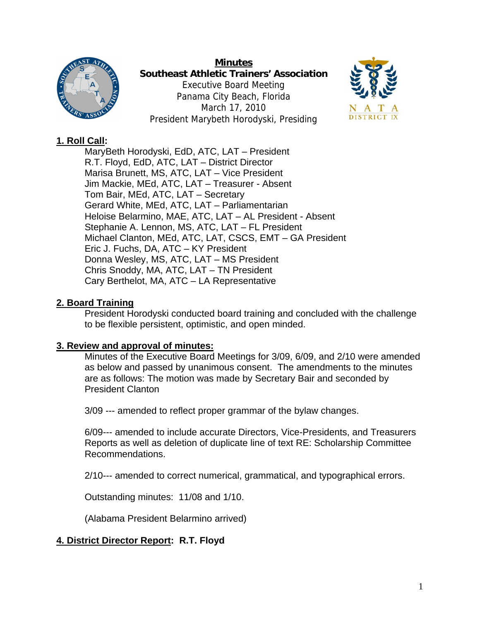

**Minutes Southeast Athletic Trainers' Association**  Executive Board Meeting Panama City Beach, Florida March 17, 2010 President Marybeth Horodyski, Presiding



# **1. Roll Call:**

MaryBeth Horodyski, EdD, ATC, LAT – President R.T. Floyd, EdD, ATC, LAT – District Director Marisa Brunett, MS, ATC, LAT – Vice President Jim Mackie, MEd, ATC, LAT – Treasurer - Absent Tom Bair, MEd, ATC, LAT – Secretary Gerard White, MEd, ATC, LAT – Parliamentarian Heloise Belarmino, MAE, ATC, LAT – AL President - Absent Stephanie A. Lennon, MS, ATC, LAT – FL President Michael Clanton, MEd, ATC, LAT, CSCS, EMT – GA President Eric J. Fuchs, DA, ATC – KY President Donna Wesley, MS, ATC, LAT – MS President Chris Snoddy, MA, ATC, LAT – TN President Cary Berthelot, MA, ATC – LA Representative

# **2. Board Training**

President Horodyski conducted board training and concluded with the challenge to be flexible persistent, optimistic, and open minded.

## **3. Review and approval of minutes:**

Minutes of the Executive Board Meetings for 3/09, 6/09, and 2/10 were amended as below and passed by unanimous consent. The amendments to the minutes are as follows: The motion was made by Secretary Bair and seconded by President Clanton

3/09 --- amended to reflect proper grammar of the bylaw changes.

6/09--- amended to include accurate Directors, Vice-Presidents, and Treasurers Reports as well as deletion of duplicate line of text RE: Scholarship Committee Recommendations.

2/10--- amended to correct numerical, grammatical, and typographical errors.

Outstanding minutes: 11/08 and 1/10.

(Alabama President Belarmino arrived)

# **4. District Director Report: R.T. Floyd**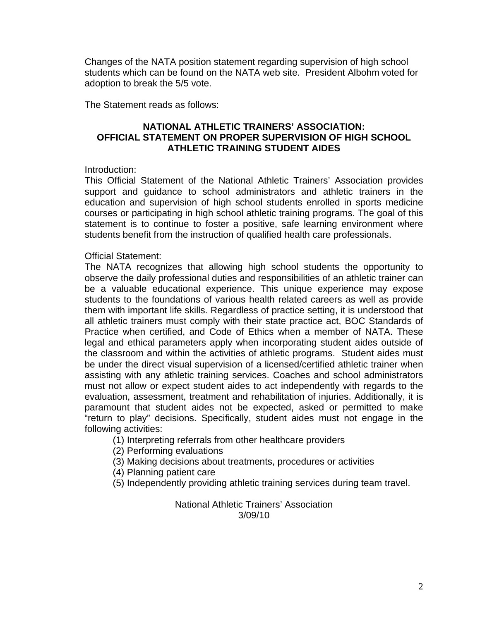Changes of the NATA position statement regarding supervision of high school students which can be found on the NATA web site. President Albohm voted for adoption to break the 5/5 vote.

The Statement reads as follows:

### **NATIONAL ATHLETIC TRAINERS' ASSOCIATION: OFFICIAL STATEMENT ON PROPER SUPERVISION OF HIGH SCHOOL ATHLETIC TRAINING STUDENT AIDES**

#### Introduction:

This Official Statement of the National Athletic Trainers' Association provides support and guidance to school administrators and athletic trainers in the education and supervision of high school students enrolled in sports medicine courses or participating in high school athletic training programs. The goal of this statement is to continue to foster a positive, safe learning environment where students benefit from the instruction of qualified health care professionals.

#### Official Statement:

The NATA recognizes that allowing high school students the opportunity to observe the daily professional duties and responsibilities of an athletic trainer can be a valuable educational experience. This unique experience may expose students to the foundations of various health related careers as well as provide them with important life skills. Regardless of practice setting, it is understood that all athletic trainers must comply with their state practice act, BOC Standards of Practice when certified, and Code of Ethics when a member of NATA. These legal and ethical parameters apply when incorporating student aides outside of the classroom and within the activities of athletic programs. Student aides must be under the direct visual supervision of a licensed/certified athletic trainer when assisting with any athletic training services. Coaches and school administrators must not allow or expect student aides to act independently with regards to the evaluation, assessment, treatment and rehabilitation of injuries. Additionally, it is paramount that student aides not be expected, asked or permitted to make "return to play" decisions. Specifically, student aides must not engage in the following activities:

- (1) Interpreting referrals from other healthcare providers
- (2) Performing evaluations
- (3) Making decisions about treatments, procedures or activities
- (4) Planning patient care
- (5) Independently providing athletic training services during team travel.

National Athletic Trainers' Association 3/09/10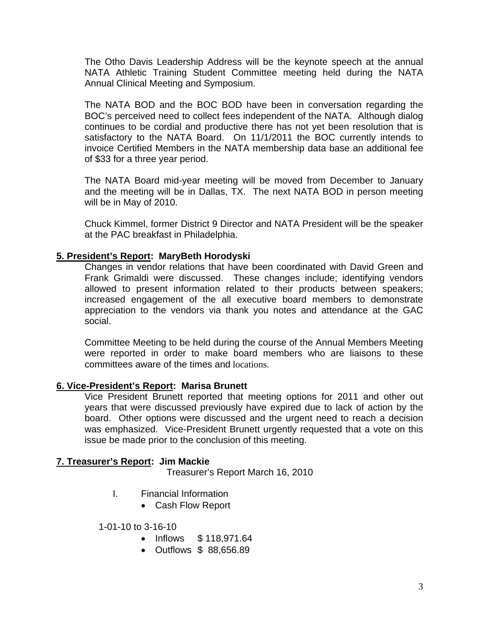The Otho Davis Leadership Address will be the keynote speech at the annual NATA Athletic Training Student Committee meeting held during the NATA Annual Clinical Meeting and Symposium.

The NATA BOD and the BOC BOD have been in conversation regarding the BOC's perceived need to collect fees independent of the NATA. Although dialog continues to be cordial and productive there has not yet been resolution that is satisfactory to the NATA Board. On 11/1/2011 the BOC currently intends to invoice Certified Members in the NATA membership data base an additional fee of \$33 for a three year period.

The NATA Board mid-year meeting will be moved from December to January and the meeting will be in Dallas, TX. The next NATA BOD in person meeting will be in May of 2010.

Chuck Kimmel, former District 9 Director and NATA President will be the speaker at the PAC breakfast in Philadelphia.

### **5. President's Report: MaryBeth Horodyski**

Changes in vendor relations that have been coordinated with David Green and Frank Grimaldi were discussed. These changes include; identifying vendors allowed to present information related to their products between speakers; increased engagement of the all executive board members to demonstrate appreciation to the vendors via thank you notes and attendance at the GAC social.

Committee Meeting to be held during the course of the Annual Members Meeting were reported in order to make board members who are liaisons to these committees aware of the times and locations.

#### **6. Vice-President's Report: Marisa Brunett**

Vice President Brunett reported that meeting options for 2011 and other out years that were discussed previously have expired due to lack of action by the board. Other options were discussed and the urgent need to reach a decision was emphasized. Vice-President Brunett urgently requested that a vote on this issue be made prior to the conclusion of this meeting.

### **7. Treasurer's Report: Jim Mackie**

Treasurer's Report March 16, 2010

- I. Financial Information
	- Cash Flow Report

#### 1-01-10 to 3-16-10

- Inflows \$ 118,971.64
- Outflows \$ 88,656.89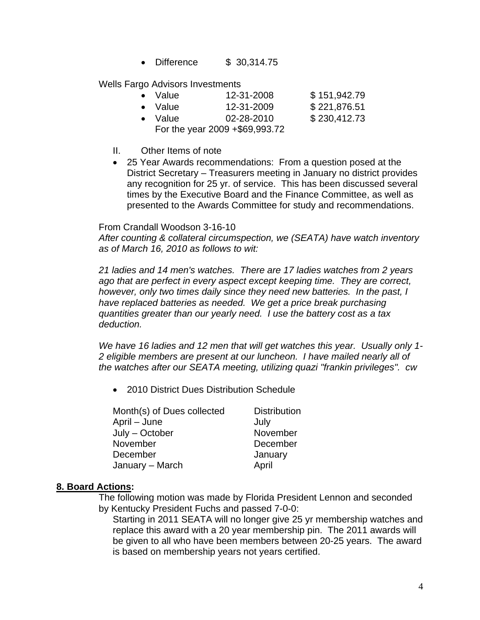• Difference \$ 30,314.75

Wells Fargo Advisors Investments

| • Value                        | 12-31-2008 | \$151,942.79 |
|--------------------------------|------------|--------------|
| • Value                        | 12-31-2009 | \$221,876.51 |
| • Value                        | 02-28-2010 | \$230,412.73 |
| For the year 2009 +\$69,993.72 |            |              |

- II. Other Items of note
- 25 Year Awards recommendations: From a question posed at the District Secretary – Treasurers meeting in January no district provides any recognition for 25 yr. of service. This has been discussed several times by the Executive Board and the Finance Committee, as well as presented to the Awards Committee for study and recommendations.

From Crandall Woodson 3-16-10

*After counting & collateral circumspection, we (SEATA) have watch inventory as of March 16, 2010 as follows to wit:* 

*21 ladies and 14 men's watches. There are 17 ladies watches from 2 years ago that are perfect in every aspect except keeping time. They are correct, however, only two times daily since they need new batteries. In the past, I have replaced batteries as needed. We get a price break purchasing quantities greater than our yearly need. I use the battery cost as a tax deduction.* 

*We have 16 ladies and 12 men that will get watches this year. Usually only 1- 2 eligible members are present at our luncheon. I have mailed nearly all of the watches after our SEATA meeting, utilizing quazi "frankin privileges". cw*

• 2010 District Dues Distribution Schedule

| Month(s) of Dues collected | <b>Distribution</b> |
|----------------------------|---------------------|
| April - June               | July                |
| July – October             | November            |
| November                   | December            |
| December                   | January             |
| January - March            | April               |
|                            |                     |

### **8. Board Actions:**

The following motion was made by Florida President Lennon and seconded by Kentucky President Fuchs and passed 7-0-0:

Starting in 2011 SEATA will no longer give 25 yr membership watches and replace this award with a 20 year membership pin. The 2011 awards will be given to all who have been members between 20-25 years. The award is based on membership years not years certified.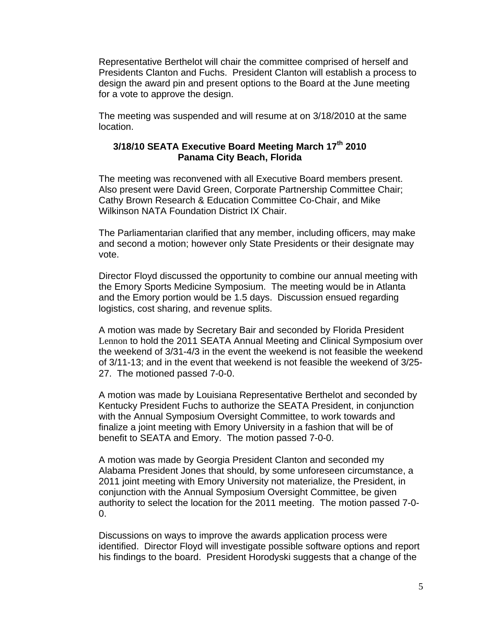Representative Berthelot will chair the committee comprised of herself and Presidents Clanton and Fuchs. President Clanton will establish a process to design the award pin and present options to the Board at the June meeting for a vote to approve the design.

The meeting was suspended and will resume at on 3/18/2010 at the same location.

## **3/18/10 SEATA Executive Board Meeting March 17th 2010 Panama City Beach, Florida**

The meeting was reconvened with all Executive Board members present. Also present were David Green, Corporate Partnership Committee Chair; Cathy Brown Research & Education Committee Co-Chair, and Mike Wilkinson NATA Foundation District IX Chair.

The Parliamentarian clarified that any member, including officers, may make and second a motion; however only State Presidents or their designate may vote.

Director Floyd discussed the opportunity to combine our annual meeting with the Emory Sports Medicine Symposium. The meeting would be in Atlanta and the Emory portion would be 1.5 days. Discussion ensued regarding logistics, cost sharing, and revenue splits.

A motion was made by Secretary Bair and seconded by Florida President Lennon to hold the 2011 SEATA Annual Meeting and Clinical Symposium over the weekend of 3/31-4/3 in the event the weekend is not feasible the weekend of 3/11-13; and in the event that weekend is not feasible the weekend of 3/25- 27. The motioned passed 7-0-0.

A motion was made by Louisiana Representative Berthelot and seconded by Kentucky President Fuchs to authorize the SEATA President, in conjunction with the Annual Symposium Oversight Committee, to work towards and finalize a joint meeting with Emory University in a fashion that will be of benefit to SEATA and Emory. The motion passed 7-0-0.

A motion was made by Georgia President Clanton and seconded my Alabama President Jones that should, by some unforeseen circumstance, a 2011 joint meeting with Emory University not materialize, the President, in conjunction with the Annual Symposium Oversight Committee, be given authority to select the location for the 2011 meeting. The motion passed 7-0- 0.

Discussions on ways to improve the awards application process were identified. Director Floyd will investigate possible software options and report his findings to the board. President Horodyski suggests that a change of the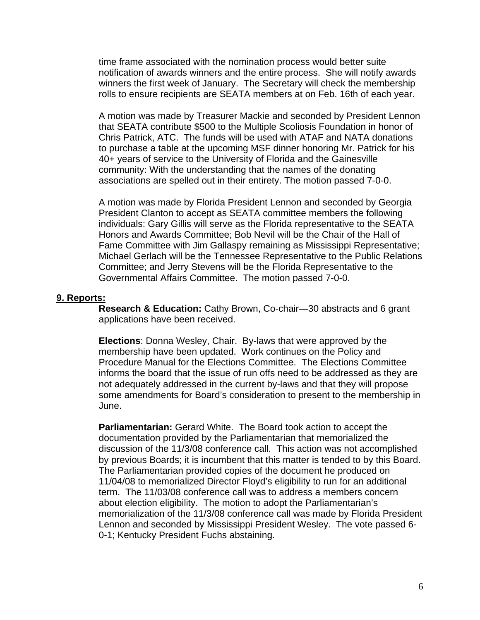time frame associated with the nomination process would better suite notification of awards winners and the entire process. She will notify awards winners the first week of January. The Secretary will check the membership rolls to ensure recipients are SEATA members at on Feb. 16th of each year.

A motion was made by Treasurer Mackie and seconded by President Lennon that SEATA contribute \$500 to the Multiple Scoliosis Foundation in honor of Chris Patrick, ATC. The funds will be used with ATAF and NATA donations to purchase a table at the upcoming MSF dinner honoring Mr. Patrick for his 40+ years of service to the University of Florida and the Gainesville community: With the understanding that the names of the donating associations are spelled out in their entirety. The motion passed 7-0-0.

A motion was made by Florida President Lennon and seconded by Georgia President Clanton to accept as SEATA committee members the following individuals: Gary Gillis will serve as the Florida representative to the SEATA Honors and Awards Committee; Bob Nevil will be the Chair of the Hall of Fame Committee with Jim Gallaspy remaining as Mississippi Representative; Michael Gerlach will be the Tennessee Representative to the Public Relations Committee; and Jerry Stevens will be the Florida Representative to the Governmental Affairs Committee. The motion passed 7-0-0.

#### **9. Reports:**

**Research & Education:** Cathy Brown, Co-chair—30 abstracts and 6 grant applications have been received.

**Elections**: Donna Wesley, Chair. By-laws that were approved by the membership have been updated. Work continues on the Policy and Procedure Manual for the Elections Committee. The Elections Committee informs the board that the issue of run offs need to be addressed as they are not adequately addressed in the current by-laws and that they will propose some amendments for Board's consideration to present to the membership in June.

**Parliamentarian:** Gerard White. The Board took action to accept the documentation provided by the Parliamentarian that memorialized the discussion of the 11/3/08 conference call. This action was not accomplished by previous Boards; it is incumbent that this matter is tended to by this Board. The Parliamentarian provided copies of the document he produced on 11/04/08 to memorialized Director Floyd's eligibility to run for an additional term. The 11/03/08 conference call was to address a members concern about election eligibility. The motion to adopt the Parliamentarian's memorialization of the 11/3/08 conference call was made by Florida President Lennon and seconded by Mississippi President Wesley. The vote passed 6- 0-1; Kentucky President Fuchs abstaining.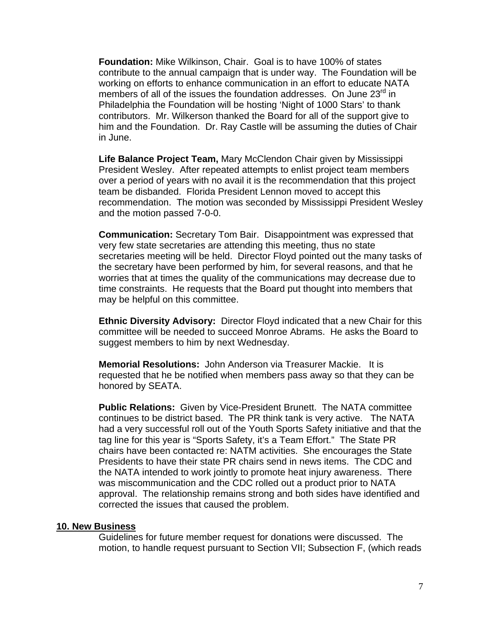**Foundation:** Mike Wilkinson, Chair. Goal is to have 100% of states contribute to the annual campaign that is under way. The Foundation will be working on efforts to enhance communication in an effort to educate NATA members of all of the issues the foundation addresses. On June  $23<sup>rd</sup>$  in Philadelphia the Foundation will be hosting 'Night of 1000 Stars' to thank contributors. Mr. Wilkerson thanked the Board for all of the support give to him and the Foundation. Dr. Ray Castle will be assuming the duties of Chair in June.

**Life Balance Project Team,** Mary McClendon Chair given by Mississippi President Wesley. After repeated attempts to enlist project team members over a period of years with no avail it is the recommendation that this project team be disbanded. Florida President Lennon moved to accept this recommendation. The motion was seconded by Mississippi President Wesley and the motion passed 7-0-0.

**Communication:** Secretary Tom Bair. Disappointment was expressed that very few state secretaries are attending this meeting, thus no state secretaries meeting will be held. Director Floyd pointed out the many tasks of the secretary have been performed by him, for several reasons, and that he worries that at times the quality of the communications may decrease due to time constraints. He requests that the Board put thought into members that may be helpful on this committee.

**Ethnic Diversity Advisory:** Director Floyd indicated that a new Chair for this committee will be needed to succeed Monroe Abrams. He asks the Board to suggest members to him by next Wednesday.

**Memorial Resolutions:** John Anderson via Treasurer Mackie. It is requested that he be notified when members pass away so that they can be honored by SEATA.

**Public Relations:** Given by Vice-President Brunett. The NATA committee continues to be district based. The PR think tank is very active. The NATA had a very successful roll out of the Youth Sports Safety initiative and that the tag line for this year is "Sports Safety, it's a Team Effort." The State PR chairs have been contacted re: NATM activities. She encourages the State Presidents to have their state PR chairs send in news items. The CDC and the NATA intended to work jointly to promote heat injury awareness. There was miscommunication and the CDC rolled out a product prior to NATA approval. The relationship remains strong and both sides have identified and corrected the issues that caused the problem.

#### **10. New Business**

Guidelines for future member request for donations were discussed. The motion, to handle request pursuant to Section VII; Subsection F, (which reads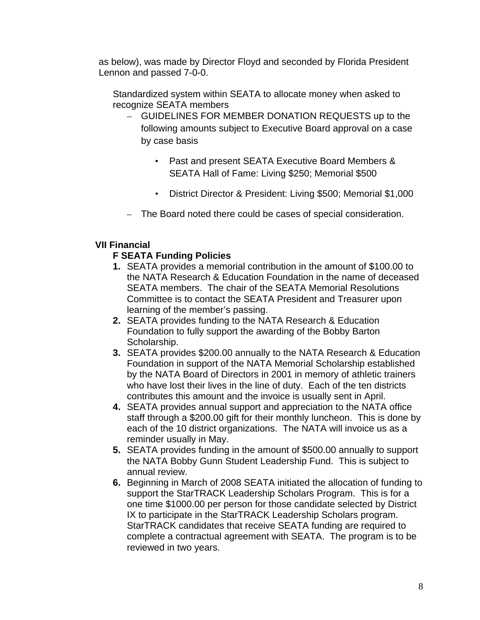as below), was made by Director Floyd and seconded by Florida President Lennon and passed 7-0-0.

Standardized system within SEATA to allocate money when asked to recognize SEATA members

- GUIDELINES FOR MEMBER DONATION REQUESTS up to the following amounts subject to Executive Board approval on a case by case basis
	- Past and present SEATA Executive Board Members & SEATA Hall of Fame: Living \$250; Memorial \$500
	- District Director & President: Living \$500; Memorial \$1,000
- The Board noted there could be cases of special consideration.

## **VII Financial**

## **F SEATA Funding Policies**

- **1.** SEATA provides a memorial contribution in the amount of \$100.00 to the NATA Research & Education Foundation in the name of deceased SEATA members. The chair of the SEATA Memorial Resolutions Committee is to contact the SEATA President and Treasurer upon learning of the member's passing.
- **2.** SEATA provides funding to the NATA Research & Education Foundation to fully support the awarding of the Bobby Barton Scholarship.
- **3.** SEATA provides \$200.00 annually to the NATA Research & Education Foundation in support of the NATA Memorial Scholarship established by the NATA Board of Directors in 2001 in memory of athletic trainers who have lost their lives in the line of duty. Each of the ten districts contributes this amount and the invoice is usually sent in April.
- **4.** SEATA provides annual support and appreciation to the NATA office staff through a \$200.00 gift for their monthly luncheon. This is done by each of the 10 district organizations. The NATA will invoice us as a reminder usually in May.
- **5.** SEATA provides funding in the amount of \$500.00 annually to support the NATA Bobby Gunn Student Leadership Fund. This is subject to annual review.
- **6.** Beginning in March of 2008 SEATA initiated the allocation of funding to support the StarTRACK Leadership Scholars Program. This is for a one time \$1000.00 per person for those candidate selected by District IX to participate in the StarTRACK Leadership Scholars program. StarTRACK candidates that receive SEATA funding are required to complete a contractual agreement with SEATA. The program is to be reviewed in two years.